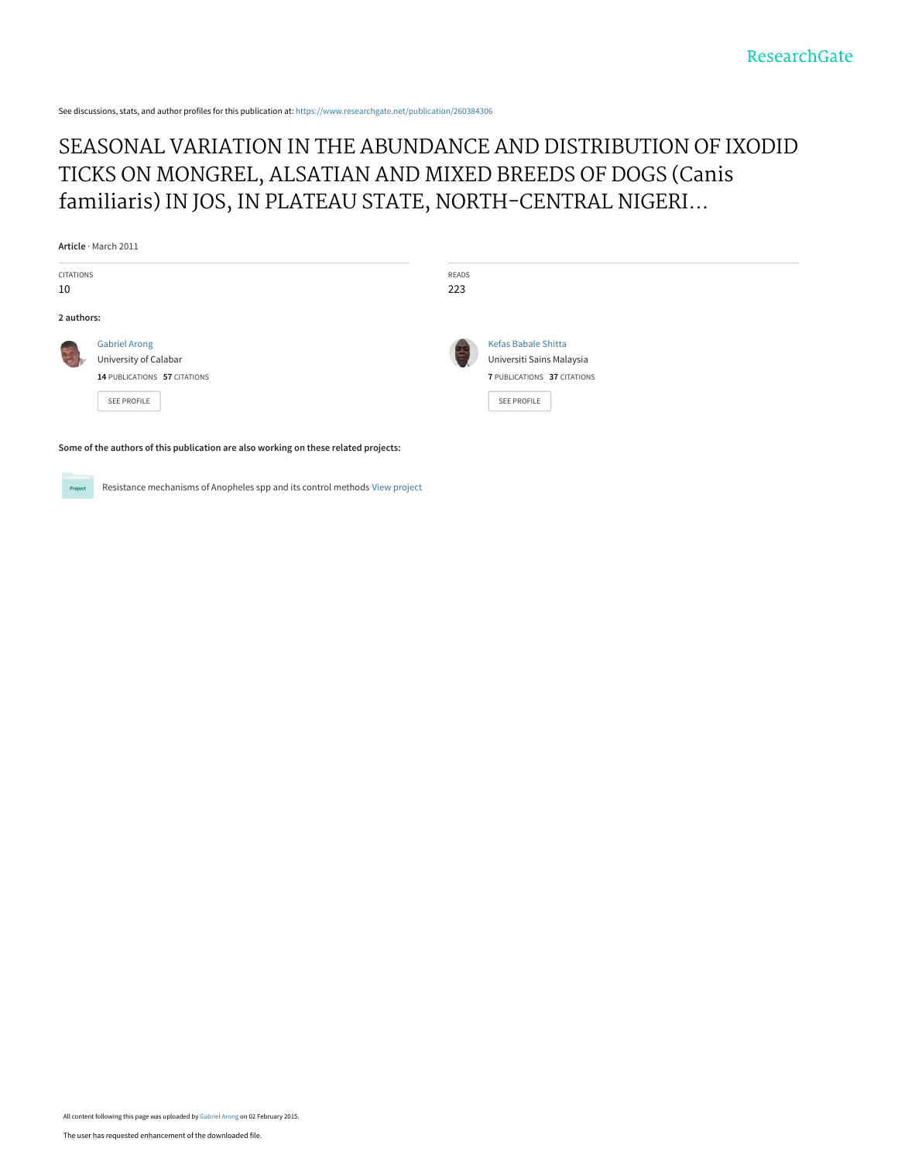See discussions, stats, and author profiles for this publication at: [https://www.researchgate.net/publication/260384306](https://www.researchgate.net/publication/260384306_SEASONAL_VARIATION_IN_THE_ABUNDANCE_AND_DISTRIBUTION_OF_IXODID_TICKS_ON_MONGREL_ALSATIAN_AND_MIXED_BREEDS_OF_DOGS_Canis_familiaris_IN_JOS_IN_PLATEAU_STATE_NORTH-CENTRAL_NIGERIA?enrichId=rgreq-09b51fb213d9b9791a2f5be01e8c4dc8-XXX&enrichSource=Y292ZXJQYWdlOzI2MDM4NDMwNjtBUzoxOTI1MjQ2NTQwNDcyMzVAMTQyMjkxMjg2MjcwNg%3D%3D&el=1_x_2&_esc=publicationCoverPdf)

# [SEASONAL VARIATION IN THE ABUNDANCE AND DISTRIBUTION OF IXODID](https://www.researchgate.net/publication/260384306_SEASONAL_VARIATION_IN_THE_ABUNDANCE_AND_DISTRIBUTION_OF_IXODID_TICKS_ON_MONGREL_ALSATIAN_AND_MIXED_BREEDS_OF_DOGS_Canis_familiaris_IN_JOS_IN_PLATEAU_STATE_NORTH-CENTRAL_NIGERIA?enrichId=rgreq-09b51fb213d9b9791a2f5be01e8c4dc8-XXX&enrichSource=Y292ZXJQYWdlOzI2MDM4NDMwNjtBUzoxOTI1MjQ2NTQwNDcyMzVAMTQyMjkxMjg2MjcwNg%3D%3D&el=1_x_3&_esc=publicationCoverPdf) TICKS ON MONGREL, ALSATIAN AND MIXED BREEDS OF DOGS (Canis familiaris) IN JOS, IN PLATEAU STATE, NORTH-CENTRAL NIGERI...

**Article** · March 2011

| CITATIONS<br>READS                                                                  |  |
|-------------------------------------------------------------------------------------|--|
|                                                                                     |  |
| 10<br>223                                                                           |  |
| 2 authors:                                                                          |  |
| <b>Kefas Babale Shitta</b><br><b>Gabriel Arong</b>                                  |  |
| University of Calabar<br>Universiti Sains Malaysia                                  |  |
| 7 PUBLICATIONS 37 CITATIONS<br>14 PUBLICATIONS 57 CITATIONS                         |  |
| SEE PROFILE<br><b>SEE PROFILE</b>                                                   |  |
| Some of the authors of this publication are also working on these related projects: |  |

Project Resistance mechanisms of Anopheles spp and its control methods [View project](https://www.researchgate.net/project/Resistance-mechanisms-of-Anopheles-spp-and-its-control-methods?enrichId=rgreq-09b51fb213d9b9791a2f5be01e8c4dc8-XXX&enrichSource=Y292ZXJQYWdlOzI2MDM4NDMwNjtBUzoxOTI1MjQ2NTQwNDcyMzVAMTQyMjkxMjg2MjcwNg%3D%3D&el=1_x_9&_esc=publicationCoverPdf)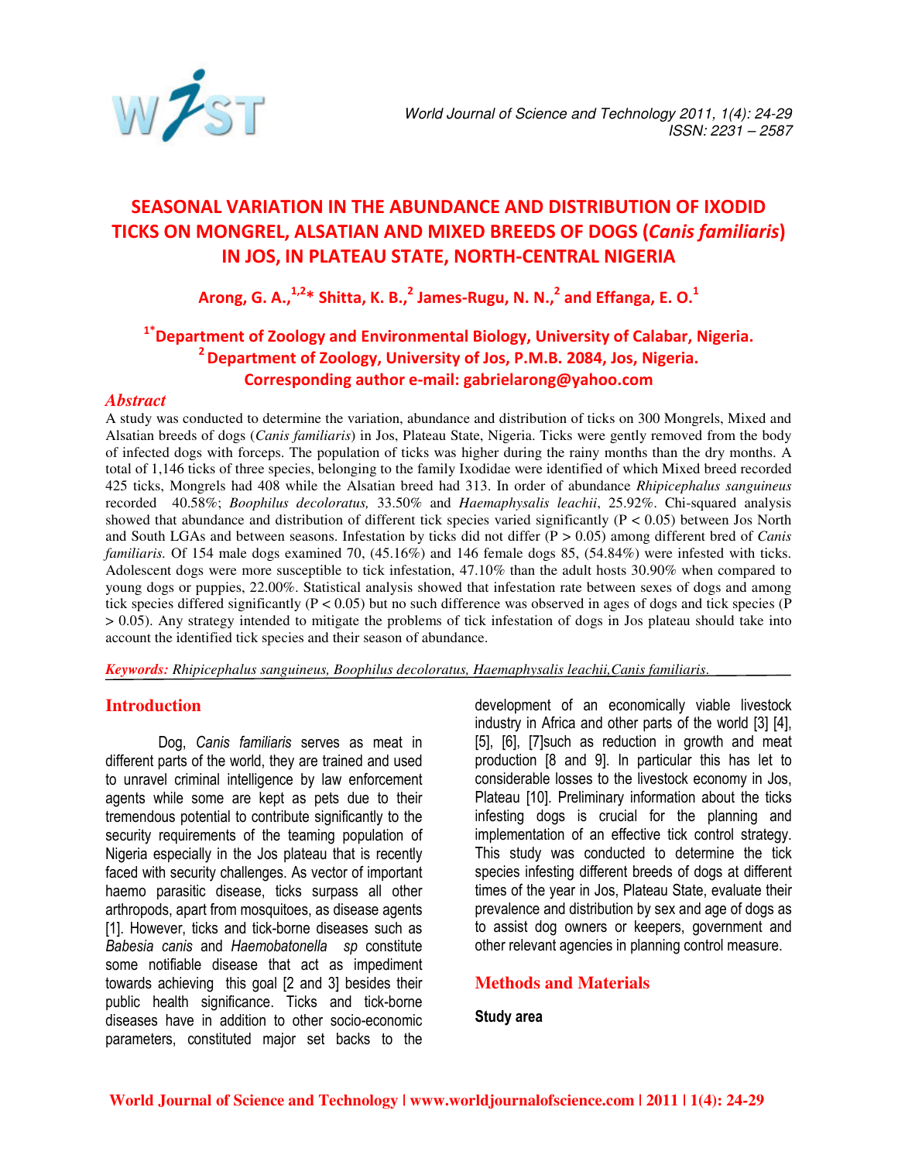

# SEASONAL VARIATION IN THE ABUNDANCE AND DISTRIBUTION OF IXODID TICKS ON MONGREL, ALSATIAN AND MIXED BREEDS OF DOGS (Canis familiaris) IN JOS, IN PLATEAU STATE, NORTH-CENTRAL NIGERIA

Arong, G. A.,  $^{1,2*}$  Shitta, K. B., <sup>2</sup> James-Rugu, N. N., <sup>2</sup> and Effanga, E. O.<sup>1</sup>

# <sup>1\*</sup>Department of Zoology and Environmental Biology, University of Calabar, Nigeria. <sup>2</sup> Department of Zoology, University of Jos, P.M.B. 2084, Jos, Nigeria. Corresponding author e-mail: gabrielarong@yahoo.com

#### *Abstract*

A study was conducted to determine the variation, abundance and distribution of ticks on 300 Mongrels, Mixed and Alsatian breeds of dogs (*Canis familiaris*) in Jos, Plateau State, Nigeria. Ticks were gently removed from the body of infected dogs with forceps. The population of ticks was higher during the rainy months than the dry months. A total of 1,146 ticks of three species, belonging to the family Ixodidae were identified of which Mixed breed recorded 425 ticks, Mongrels had 408 while the Alsatian breed had 313. In order of abundance *Rhipicephalus sanguineus* recorded 40.58%; *Boophilus decoloratus,* 33.50% and *Haemaphysalis leachii*, 25.92%. Chi-squared analysis showed that abundance and distribution of different tick species varied significantly ( $P < 0.05$ ) between Jos North and South LGAs and between seasons. Infestation by ticks did not differ (P > 0.05) among different bred of *Canis familiaris.* Of 154 male dogs examined 70, (45.16%) and 146 female dogs 85, (54.84%) were infested with ticks. Adolescent dogs were more susceptible to tick infestation, 47.10% than the adult hosts 30.90% when compared to young dogs or puppies, 22.00%. Statistical analysis showed that infestation rate between sexes of dogs and among tick species differed significantly  $(P < 0.05)$  but no such difference was observed in ages of dogs and tick species (P > 0.05). Any strategy intended to mitigate the problems of tick infestation of dogs in Jos plateau should take into account the identified tick species and their season of abundance.

*Keywords: Rhipicephalus sanguineus, Boophilus decoloratus, Haemaphysalis leachii,Canis familiaris*.

# **Introduction**

Dog, Canis familiaris serves as meat in different parts of the world, they are trained and used to unravel criminal intelligence by law enforcement agents while some are kept as pets due to their tremendous potential to contribute significantly to the security requirements of the teaming population of Nigeria especially in the Jos plateau that is recently faced with security challenges. As vector of important haemo parasitic disease, ticks surpass all other arthropods, apart from mosquitoes, as disease agents [1]. However, ticks and tick-borne diseases such as Babesia canis and Haemobatonella sp constitute some notifiable disease that act as impediment towards achieving this goal [2 and 3] besides their public health significance. Ticks and tick-borne diseases have in addition to other socio-economic parameters, constituted major set backs to the

development of an economically viable livestock industry in Africa and other parts of the world [3] [4], [5], [6], [7]such as reduction in growth and meat production [8 and 9]. In particular this has let to considerable losses to the livestock economy in Jos, Plateau [10]. Preliminary information about the ticks infesting dogs is crucial for the planning and implementation of an effective tick control strategy. This study was conducted to determine the tick species infesting different breeds of dogs at different times of the year in Jos, Plateau State, evaluate their prevalence and distribution by sex and age of dogs as to assist dog owners or keepers, government and other relevant agencies in planning control measure.

# **Methods and Materials**

### Study area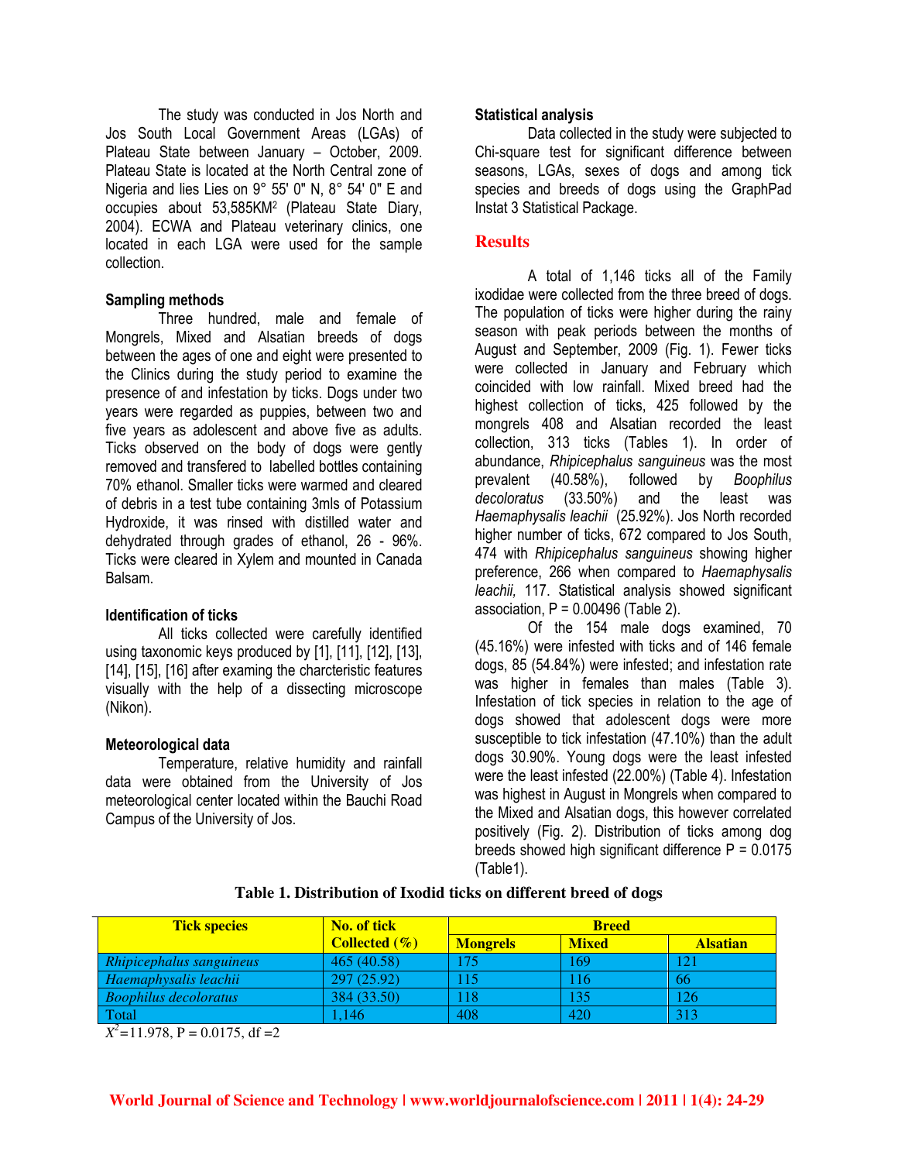The study was conducted in Jos North and Jos South Local Government Areas (LGAs) of Plateau State between January – October, 2009. Plateau State is located at the North Central zone of Nigeria and lies Lies on 9° 55' 0" N, 8° 54' 0" E and occupies about 53,585KM2 (Plateau State Diary, 2004). ECWA and Plateau veterinary clinics, one located in each LGA were used for the sample collection.

# Sampling methods

Three hundred, male and female of Mongrels, Mixed and Alsatian breeds of dogs between the ages of one and eight were presented to the Clinics during the study period to examine the presence of and infestation by ticks. Dogs under two years were regarded as puppies, between two and five years as adolescent and above five as adults. Ticks observed on the body of dogs were gently removed and transfered to labelled bottles containing 70% ethanol. Smaller ticks were warmed and cleared of debris in a test tube containing 3mls of Potassium Hydroxide, it was rinsed with distilled water and dehydrated through grades of ethanol, 26 - 96%. Ticks were cleared in Xylem and mounted in Canada Balsam.

# Identification of ticks

All ticks collected were carefully identified using taxonomic keys produced by [1], [11], [12], [13], [14], [15], [16] after examing the charcteristic features visually with the help of a dissecting microscope (Nikon).

# Meteorological data

Temperature, relative humidity and rainfall data were obtained from the University of Jos meteorological center located within the Bauchi Road Campus of the University of Jos.

#### Statistical analysis

Data collected in the study were subjected to Chi-square test for significant difference between seasons, LGAs, sexes of dogs and among tick species and breeds of dogs using the GraphPad Instat 3 Statistical Package.

# **Results**

A total of 1,146 ticks all of the Family ixodidae were collected from the three breed of dogs. The population of ticks were higher during the rainy season with peak periods between the months of August and September, 2009 (Fig. 1). Fewer ticks were collected in January and February which coincided with low rainfall. Mixed breed had the highest collection of ticks, 425 followed by the mongrels 408 and Alsatian recorded the least collection, 313 ticks (Tables 1). In order of abundance, Rhipicephalus sanguineus was the most prevalent (40.58%), followed by Boophilus<br>decoloratus (33.50%) and the least was decoloratus (33.50%) and the least was Haemaphysalis leachii (25.92%). Jos North recorded higher number of ticks, 672 compared to Jos South, 474 with Rhipicephalus sanguineus showing higher preference, 266 when compared to Haemaphysalis leachii, 117. Statistical analysis showed significant association,  $P = 0.00496$  (Table 2).

Of the 154 male dogs examined, 70 (45.16%) were infested with ticks and of 146 female dogs, 85 (54.84%) were infested; and infestation rate was higher in females than males (Table 3). Infestation of tick species in relation to the age of dogs showed that adolescent dogs were more susceptible to tick infestation (47.10%) than the adult dogs 30.90%. Young dogs were the least infested were the least infested (22.00%) (Table 4). Infestation was highest in August in Mongrels when compared to the Mixed and Alsatian dogs, this however correlated positively (Fig. 2). Distribution of ticks among dog breeds showed high significant difference  $P = 0.0175$ (Table1).

| <b>Tick species</b>          | No. of tick              | <b>Breed</b>    |              |                 |
|------------------------------|--------------------------|-----------------|--------------|-----------------|
|                              | <b>Collected</b> $(\% )$ | <b>Mongrels</b> | <b>Mixed</b> | <b>Alsatian</b> |
| Rhipicephalus sanguineus     | 465 (40.58)              | 75              | 169          |                 |
| Haemaphysalis leachii        | 297(25.92)               | .15             | $\P$ 6       | <b>66</b>       |
| <b>Boophilus decoloratus</b> | 384 (33.50)              | 118             | 135          | 126             |
| Total                        | .146                     | 408             | 420          | 313             |

#### **Table 1. Distribution of Ixodid ticks on different breed of dogs**

 $X^2 = 11.978$ ,  $P = 0.0175$ , df = 2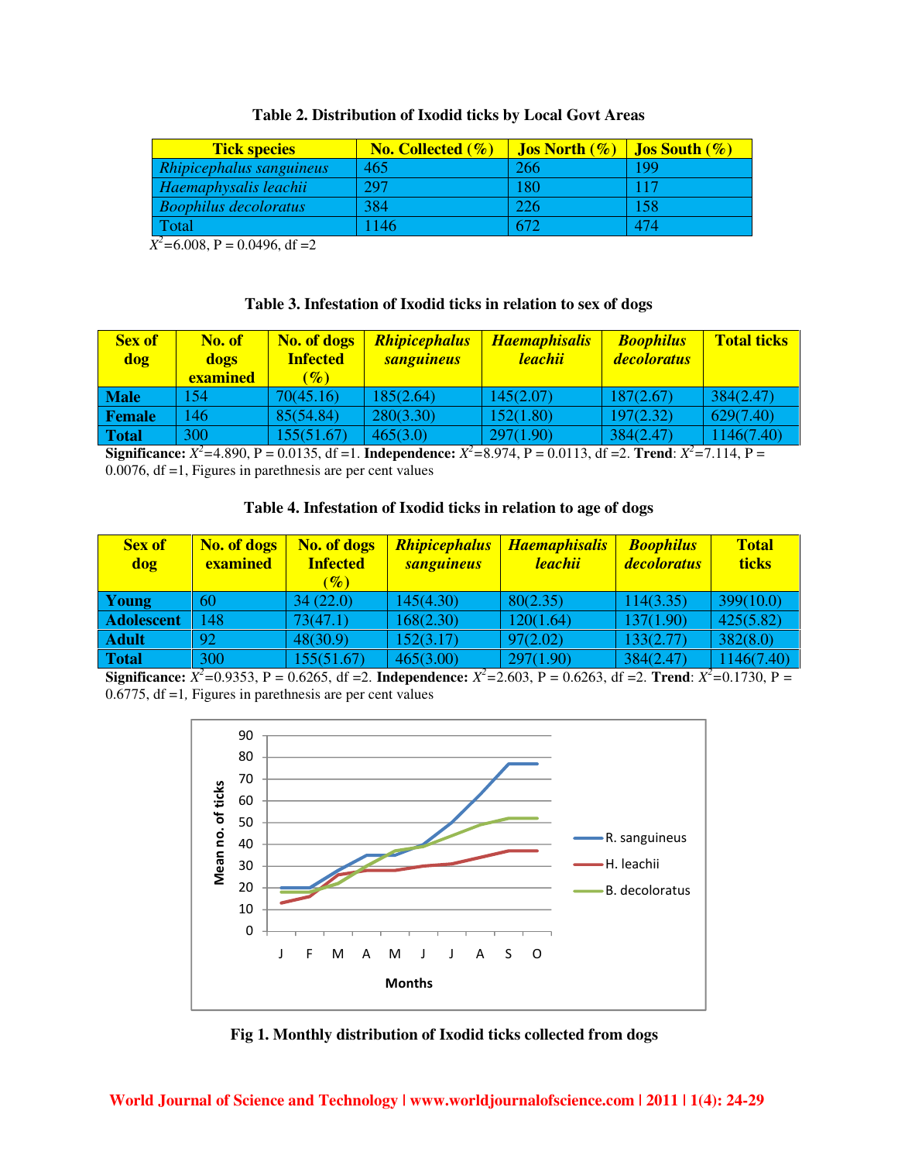| <b>Tick species</b>          | <b>No. Collected <math>(\%)</math></b> | <b>Jos North</b> $(\%)$ | <b>Jos South <math>(\%)</math></b> |
|------------------------------|----------------------------------------|-------------------------|------------------------------------|
| Rhipicephalus sanguineus     | 465                                    | 266                     | 199                                |
| Haemaphysalis leachii        | 297                                    | 180                     | 117                                |
| <b>Boophilus decoloratus</b> | 384                                    | 226                     | 158                                |
| Total                        | 146                                    | 672                     | 474                                |

#### **Table 2. Distribution of Ixodid ticks by Local Govt Areas**

 $X^2$ =6.008, P = 0.0496, df = 2

#### **Table 3. Infestation of Ixodid ticks in relation to sex of dogs**

| <b>Sex of</b><br>dog | No. of<br>dogs<br><b>examined</b> | No. of dogs<br><b>Infected</b><br>$(\%)$ | <b>Rhipicephalus</b><br><b>sanguineus</b> | <b>Haemaphisalis</b><br>leachii | <b>Boophilus</b><br><i>decoloratus</i> | <b>Total ticks</b> |
|----------------------|-----------------------------------|------------------------------------------|-------------------------------------------|---------------------------------|----------------------------------------|--------------------|
| <b>Male</b>          | 154                               | 70(45.16)                                | 185(2.64)                                 | 145(2.07)                       | 187(2.67)                              | 384(2.47)          |
| Female               | 146                               | 85(54.84)                                | 280(3.30)                                 | 152(1.80)                       | 197(2.32)                              | 629(7.40)          |
| <b>Total</b>         | 300                               | 155(51.67)                               | 465(3.0)                                  | 297(1.90)                       | 384(2.47)                              | 1146(7.40)         |

**Significance:**  $X^2 = 4.890$ , P = 0.0135, df =1. **Independence:**  $X^2 = 8.974$ , P = 0.0113, df =2. **Trend**:  $X^2 = 7.114$ , P = 0.0076, df =1, Figures in parethnesis are per cent values

# **Table 4. Infestation of Ixodid ticks in relation to age of dogs**

| <b>Sex of</b><br>dog | <b>No. of dogs</b><br>examined | No. of dogs<br><b>Infected</b><br>$(\%)$ | <b>Rhipicephalus</b><br><b>sanguineus</b> | <b>Haemaphisalis</b><br>leachii | <b>Boophilus</b><br><i>decoloratus</i> | <b>Total</b><br>ticks |
|----------------------|--------------------------------|------------------------------------------|-------------------------------------------|---------------------------------|----------------------------------------|-----------------------|
| Young                | 60                             | 34(22.0)                                 | 145(4.30)                                 | 80(2.35)                        | 114(3.35)                              | 399(10.0)             |
| <b>Adolescent</b>    | 148                            | 73(47.1)                                 | 168(2.30)                                 | 120(1.64)                       | 137(1.90)                              | 425(5.82)             |
| <b>Adult</b>         | $\overline{92}$                | 48(30.9)                                 | 152(3.17)                                 | 97(2.02)                        | 133(2.77)                              | 382(8.0)              |
| <b>Total</b>         | 300                            | 155(51.67)                               | 465(3.00)                                 | 297(1.90)                       | 384(2.47)                              | 1146(7.40)            |

**Significance:**  $X^2 = 0.9353$ , P = 0.6265, df = 2. **Independence:**  $X^2 = 2.603$ , P = 0.6263, df = 2. **Trend**:  $X^2 = 0.1730$ , P = 0.6775, df =1*,* Figures in parethnesis are per cent values



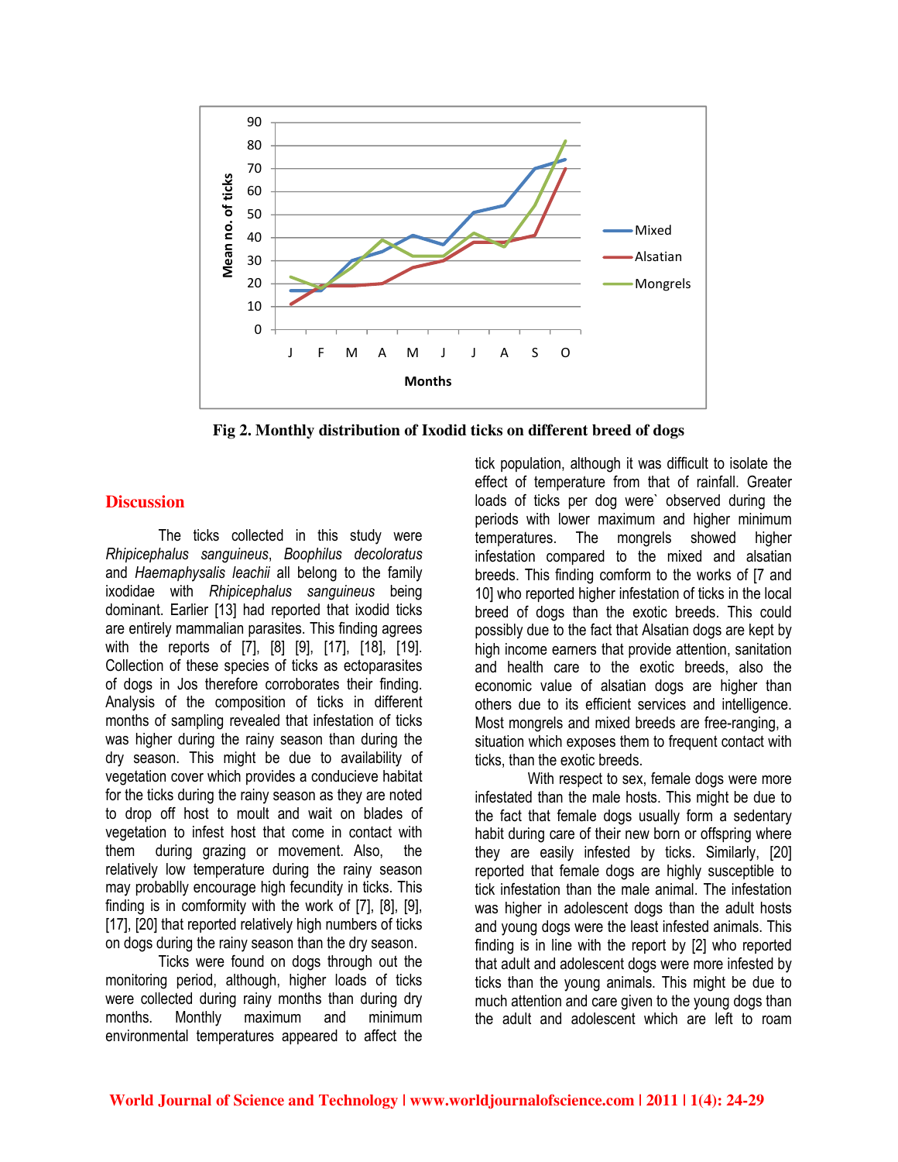

**Fig 2. Monthly distribution of Ixodid ticks on different breed of dogs** 

# **Discussion**

The ticks collected in this study were Rhipicephalus sanguineus, Boophilus decoloratus and Haemaphysalis leachii all belong to the family ixodidae with Rhipicephalus sanguineus being dominant. Earlier [13] had reported that ixodid ticks are entirely mammalian parasites. This finding agrees with the reports of [7], [8] [9], [17], [18], [19]. Collection of these species of ticks as ectoparasites of dogs in Jos therefore corroborates their finding. Analysis of the composition of ticks in different months of sampling revealed that infestation of ticks was higher during the rainy season than during the dry season. This might be due to availability of vegetation cover which provides a conducieve habitat for the ticks during the rainy season as they are noted to drop off host to moult and wait on blades of vegetation to infest host that come in contact with them during grazing or movement. Also, the relatively low temperature during the rainy season may probablly encourage high fecundity in ticks. This finding is in comformity with the work of [7], [8], [9], [17], [20] that reported relatively high numbers of ticks on dogs during the rainy season than the dry season.

Ticks were found on dogs through out the monitoring period, although, higher loads of ticks were collected during rainy months than during dry months. Monthly maximum and minimum environmental temperatures appeared to affect the

tick population, although it was difficult to isolate the effect of temperature from that of rainfall. Greater loads of ticks per dog were` observed during the periods with lower maximum and higher minimum temperatures. The mongrels showed higher infestation compared to the mixed and alsatian breeds. This finding comform to the works of [7 and 10] who reported higher infestation of ticks in the local breed of dogs than the exotic breeds. This could possibly due to the fact that Alsatian dogs are kept by high income earners that provide attention, sanitation and health care to the exotic breeds, also the economic value of alsatian dogs are higher than others due to its efficient services and intelligence. Most mongrels and mixed breeds are free-ranging, a situation which exposes them to frequent contact with ticks, than the exotic breeds.

With respect to sex, female dogs were more infestated than the male hosts. This might be due to the fact that female dogs usually form a sedentary habit during care of their new born or offspring where they are easily infested by ticks. Similarly, [20] reported that female dogs are highly susceptible to tick infestation than the male animal. The infestation was higher in adolescent dogs than the adult hosts and young dogs were the least infested animals. This finding is in line with the report by [2] who reported that adult and adolescent dogs were more infested by ticks than the young animals. This might be due to much attention and care given to the young dogs than the adult and adolescent which are left to roam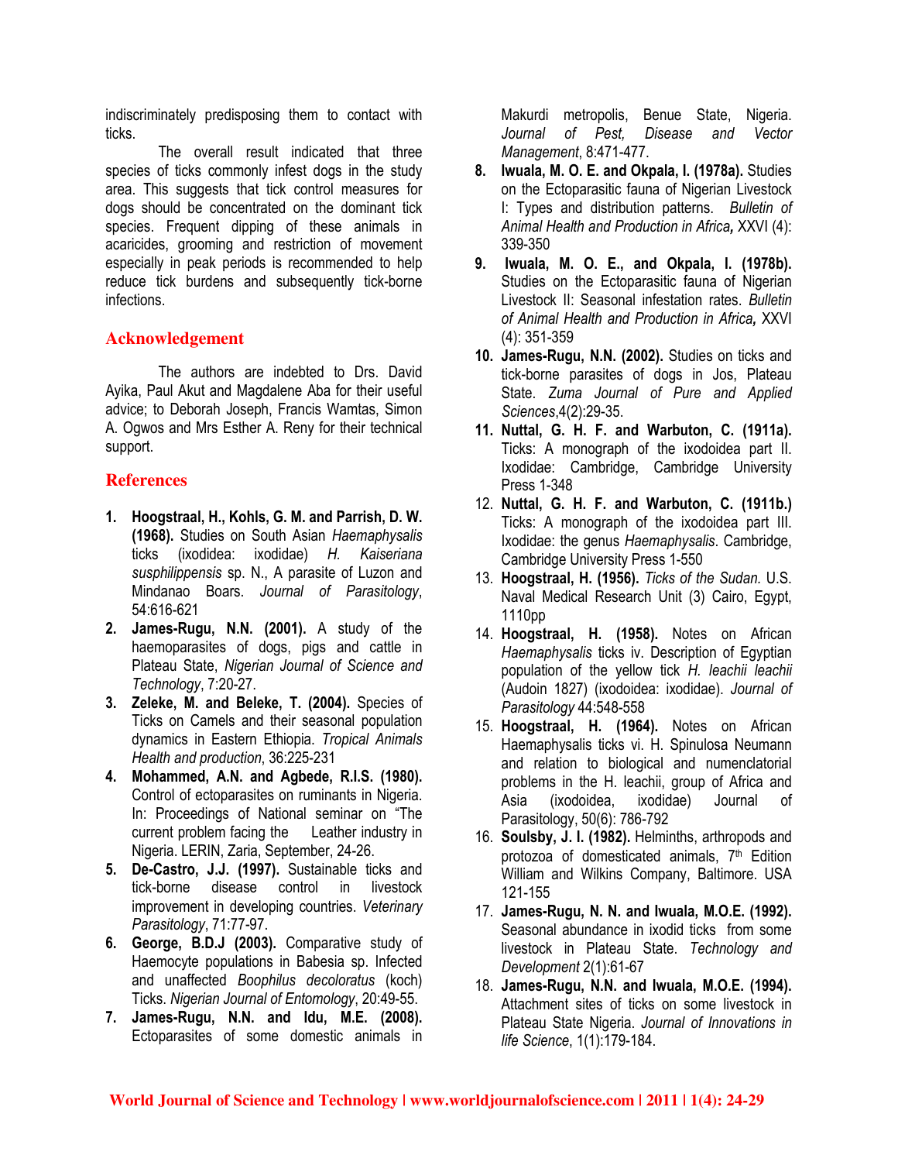indiscriminately predisposing them to contact with ticks.

The overall result indicated that three species of ticks commonly infest dogs in the study area. This suggests that tick control measures for dogs should be concentrated on the dominant tick species. Frequent dipping of these animals in acaricides, grooming and restriction of movement especially in peak periods is recommended to help reduce tick burdens and subsequently tick-borne infections.

# **Acknowledgement**

The authors are indebted to Drs. David Ayika, Paul Akut and Magdalene Aba for their useful advice; to Deborah Joseph, Francis Wamtas, Simon A. Ogwos and Mrs Esther A. Reny for their technical support.

# **References**

- 1. Hoogstraal, H., Kohls, G. M. and Parrish, D. W. (1968). Studies on South Asian Haemaphysalis ticks (ixodidea: ixodidae) H. Kaiseriana susphilippensis sp. N., A parasite of Luzon and Mindanao Boars. Journal of Parasitology, 54:616-621
- 2. James-Rugu, N.N. (2001). A study of the haemoparasites of dogs, pigs and cattle in Plateau State, Nigerian Journal of Science and Technology, 7:20-27.
- 3. Zeleke, M. and Beleke, T. (2004). Species of Ticks on Camels and their seasonal population dynamics in Eastern Ethiopia. Tropical Animals Health and production, 36:225-231
- 4. Mohammed, A.N. and Agbede, R.I.S. (1980). Control of ectoparasites on ruminants in Nigeria. In: Proceedings of National seminar on "The current problem facing the Leather industry in Nigeria. LERIN, Zaria, September, 24-26.
- 5. De-Castro, J.J. (1997). Sustainable ticks and tick-borne disease control in livestock improvement in developing countries. Veterinary Parasitology, 71:77-97.
- 6. George, B.D.J (2003). Comparative study of Haemocyte populations in Babesia sp. Infected and unaffected Boophilus decoloratus (koch) Ticks. Nigerian Journal of Entomology, 20:49-55.
- 7. James-Rugu, N.N. and Idu, M.E. (2008). Ectoparasites of some domestic animals in

Makurdi metropolis, Benue State, Nigeria. Journal of Pest, Disease and Vector Management, 8:471-477.

- 8. Iwuala, M. O. E. and Okpala, I. (1978a). Studies on the Ectoparasitic fauna of Nigerian Livestock I: Types and distribution patterns. Bulletin of Animal Health and Production in Africa, XXVI (4): 339-350
- 9. Iwuala, M. O. E., and Okpala, I. (1978b). Studies on the Ectoparasitic fauna of Nigerian Livestock II: Seasonal infestation rates. Bulletin of Animal Health and Production in Africa, XXVI (4): 351-359
- 10. James-Rugu, N.N. (2002). Studies on ticks and tick-borne parasites of dogs in Jos, Plateau State. Zuma Journal of Pure and Applied Sciences,4(2):29-35.
- 11. Nuttal, G. H. F. and Warbuton, C. (1911a). Ticks: A monograph of the ixodoidea part II. Ixodidae: Cambridge, Cambridge University Press 1-348
- 12. Nuttal, G. H. F. and Warbuton, C. (1911b.) Ticks: A monograph of the ixodoidea part III. Ixodidae: the genus Haemaphysalis. Cambridge, Cambridge University Press 1-550
- 13. Hoogstraal, H. (1956). Ticks of the Sudan. U.S. Naval Medical Research Unit (3) Cairo, Egypt, 1110pp
- 14. Hoogstraal, H. (1958). Notes on African Haemaphysalis ticks iv. Description of Egyptian population of the yellow tick H. leachii leachii (Audoin 1827) (ixodoidea: ixodidae). Journal of Parasitology 44:548-558
- 15. Hoogstraal, H. (1964). Notes on African Haemaphysalis ticks vi. H. Spinulosa Neumann and relation to biological and numenclatorial problems in the H. leachii, group of Africa and Asia (ixodoidea, ixodidae) Journal of Parasitology, 50(6): 786-792
- 16. Soulsby, J. I. (1982). Helminths, arthropods and protozoa of domesticated animals, 7<sup>th</sup> Edition William and Wilkins Company, Baltimore. USA 121-155
- 17. James-Rugu, N. N. and Iwuala, M.O.E. (1992). Seasonal abundance in ixodid ticks from some livestock in Plateau State. Technology and Development 2(1):61-67
- 18. James-Rugu, N.N. and Iwuala, M.O.E. (1994). Attachment sites of ticks on some livestock in Plateau State Nigeria. Journal of Innovations in life Science, 1(1):179-184.